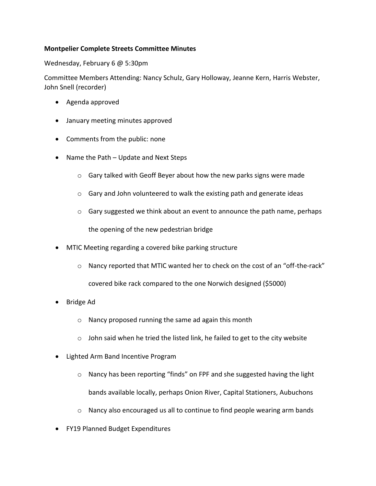## **Montpelier Complete Streets Committee Minutes**

Wednesday, February 6 @ 5:30pm

Committee Members Attending: Nancy Schulz, Gary Holloway, Jeanne Kern, Harris Webster, John Snell (recorder)

- Agenda approved
- January meeting minutes approved
- Comments from the public: none
- Name the Path Update and Next Steps
	- o Gary talked with Geoff Beyer about how the new parks signs were made
	- o Gary and John volunteered to walk the existing path and generate ideas
	- $\circ$  Gary suggested we think about an event to announce the path name, perhaps the opening of the new pedestrian bridge
- MTIC Meeting regarding a covered bike parking structure
	- $\circ$  Nancy reported that MTIC wanted her to check on the cost of an "off-the-rack"

covered bike rack compared to the one Norwich designed (\$5000)

- Bridge Ad
	- o Nancy proposed running the same ad again this month
	- $\circ$  John said when he tried the listed link, he failed to get to the city website
- Lighted Arm Band Incentive Program
	- o Nancy has been reporting "finds" on FPF and she suggested having the light bands available locally, perhaps Onion River, Capital Stationers, Aubuchons
	- o Nancy also encouraged us all to continue to find people wearing arm bands
- FY19 Planned Budget Expenditures